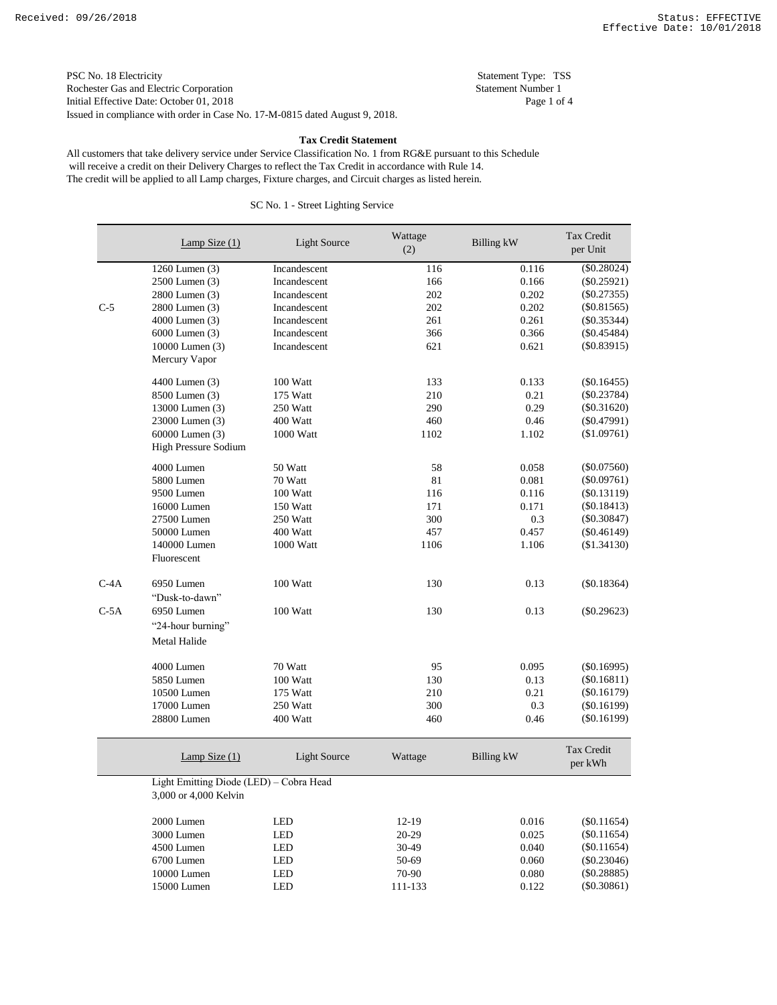PSC No. 18 Electricity Statement Type: TSS<br>
Rochester Gas and Electric Corporation Statement Number 1 Rochester Gas and Electric Corporation Initial Effective Date: October 01, 2018 Page 1 of 4 Issued in compliance with order in Case No. 17-M-0815 dated August 9, 2018.

### **Tax Credit Statement**

 will receive a credit on their Delivery Charges to reflect the Tax Credit in accordance with Rule 14. All customers that take delivery service under Service Classification No. 1 from RG&E pursuant to this Schedule The credit will be applied to all Lamp charges, Fixture charges, and Circuit charges as listed herein.

|        | Lamp Size $(1)$                         | <b>Light Source</b> | Wattage<br>(2) | <b>Billing kW</b> | Tax Credit<br>per Unit |
|--------|-----------------------------------------|---------------------|----------------|-------------------|------------------------|
|        | 1260 Lumen (3)                          | Incandescent        | 116            | 0.116             | $(\$0.28024)$          |
|        | 2500 Lumen (3)                          | Incandescent        | 166            | 0.166             | $(\$0.25921)$          |
|        | 2800 Lumen (3)                          | Incandescent        | 202            | 0.202             | $(\$0.27355)$          |
| $C-5$  | 2800 Lumen (3)                          | Incandescent        | 202            | 0.202             | $(\$0.81565)$          |
|        | 4000 Lumen (3)                          | Incandescent        | 261            | 0.261             | $(\$0.35344)$          |
|        | 6000 Lumen (3)                          | Incandescent        | 366            | 0.366             | $(\$0.45484)$          |
|        | 10000 Lumen (3)                         | Incandescent        | 621            | 0.621             | $(\$0.83915)$          |
|        | Mercury Vapor                           |                     |                |                   |                        |
|        | 4400 Lumen (3)                          | 100 Watt            | 133            | 0.133             | $(\$0.16455)$          |
|        | 8500 Lumen (3)                          | 175 Watt            | 210            | 0.21              | $(\$0.23784)$          |
|        | 13000 Lumen (3)                         | 250 Watt            | 290            | 0.29              | $(\$0.31620)$          |
|        | 23000 Lumen (3)                         | 400 Watt            | 460            | 0.46              | $(\$0.47991)$          |
|        | 60000 Lumen (3)                         | 1000 Watt           | 1102           | 1.102             | (\$1.09761)            |
|        | High Pressure Sodium                    |                     |                |                   |                        |
|        | 4000 Lumen                              | 50 Watt             | 58             | 0.058             | $(\$0.07560)$          |
|        | 5800 Lumen                              | 70 Watt             | 81             | 0.081             | $(\$0.09761)$          |
|        | 9500 Lumen                              | 100 Watt            | 116            | 0.116             | $(\$0.13119)$          |
|        | 16000 Lumen                             | 150 Watt            | 171            | 0.171             | $(\$0.18413)$          |
|        | 27500 Lumen                             | 250 Watt            | 300            | 0.3               | $(\$0.30847)$          |
|        | 50000 Lumen                             | 400 Watt            | 457            | 0.457             | $(\$0.46149)$          |
|        | 140000 Lumen<br>Fluorescent             | 1000 Watt           | 1106           | 1.106             | (\$1.34130)            |
| $C-4A$ | 6950 Lumen<br>"Dusk-to-dawn"            | 100 Watt            | 130            | 0.13              | $(\$0.18364)$          |
| $C-5A$ | 6950 Lumen                              | 100 Watt            | 130            | 0.13              | $(\$0.29623)$          |
|        | "24-hour burning"                       |                     |                |                   |                        |
|        | Metal Halide                            |                     |                |                   |                        |
|        | 4000 Lumen                              | 70 Watt             | 95             | 0.095             | $(\$0.16995)$          |
|        | 5850 Lumen                              | 100 Watt            | 130            | 0.13              | $(\$0.16811)$          |
|        | 10500 Lumen                             | 175 Watt            | 210            | 0.21              | $(\$0.16179)$          |
|        | 17000 Lumen                             | 250 Watt            | 300            | 0.3               | $(\$0.16199)$          |
|        | 28800 Lumen                             | 400 Watt            | 460            | 0.46              | $(\$0.16199)$          |
|        | Lamp Size $(1)$                         | <b>Light Source</b> | Wattage        | Billing kW        | Tax Credit<br>per kWh  |
|        | Light Emitting Diode (LED) - Cobra Head |                     |                |                   |                        |
|        | 3,000 or 4,000 Kelvin                   |                     |                |                   |                        |
|        | 2000 Lumen                              | <b>LED</b>          | $12-19$        | 0.016             | $(\$0.11654)$          |
|        | 3000 Lumen                              | <b>LED</b>          | $20 - 29$      | 0.025             | $(\$0.11654)$          |
|        | 4500 Lumen                              | <b>LED</b>          | 30-49          | 0.040             | $(\$0.11654)$          |
|        | 6700 Lumen                              | <b>LED</b>          | 50-69          | 0.060             | (\$0.23046)            |
|        | 10000 Lumen                             | LED                 | 70-90          | 0.080             | (\$0.28885)            |
|        | 15000 Lumen                             | <b>LED</b>          | 111-133        | 0.122             | $(\$0.30861)$          |

# SC No. 1 - Street Lighting Service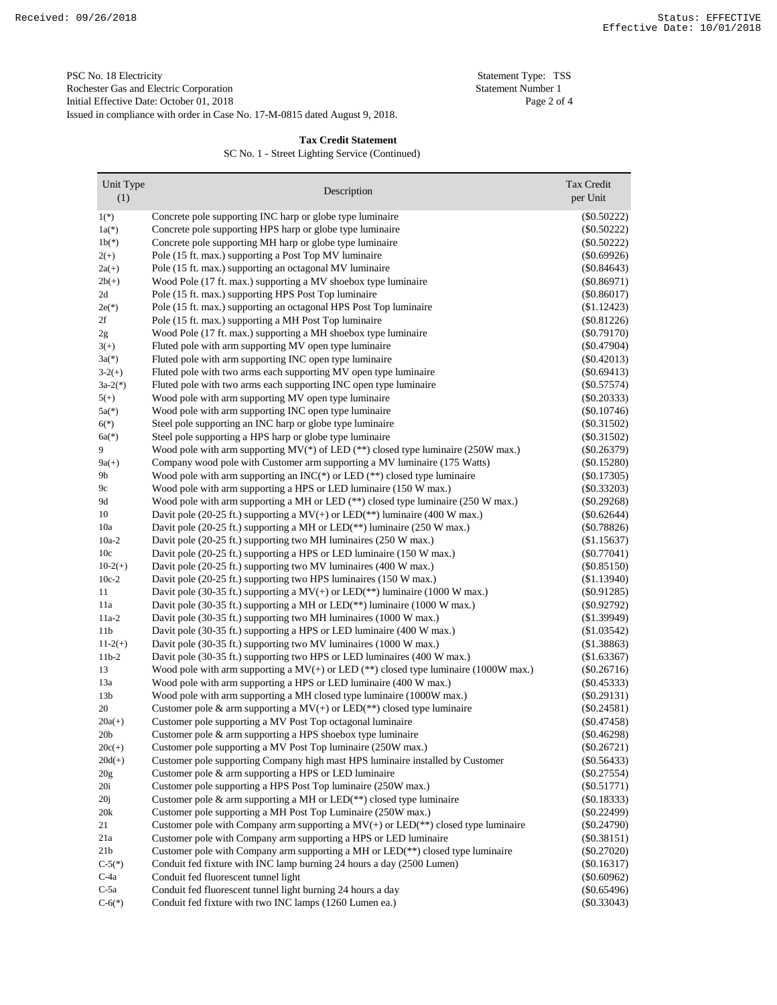Issued in compliance with order in Case No. 17-M-0815 dated August 9, 2018. PSC No. 18 Electricity<br>
Rochester Gas and Electric Corporation<br>
Statement Number 1 Rochester Gas and Electric Corporation Initial Effective Date: October 01, 2018 Page 2 of 4

## **Tax Credit Statement**

SC No. 1 - Street Lighting Service (Continued)

| Unit Type             |                                                                                                                                                             | Tax Credit                     |
|-----------------------|-------------------------------------------------------------------------------------------------------------------------------------------------------------|--------------------------------|
| (1)                   | Description                                                                                                                                                 | per Unit                       |
| $1(*)$                | Concrete pole supporting INC harp or globe type luminaire                                                                                                   | $(\$0.50222)$                  |
| $1a(*)$               | Concrete pole supporting HPS harp or globe type luminaire                                                                                                   | $(\$0.50222)$                  |
| $1b(*)$               | Concrete pole supporting MH harp or globe type luminaire                                                                                                    | $(\$0.50222)$                  |
| $2(+)$                | Pole (15 ft. max.) supporting a Post Top MV luminaire                                                                                                       | (\$0.69926)                    |
| $2a(+)$               | Pole (15 ft. max.) supporting an octagonal MV luminaire                                                                                                     | $(\$0.84643)$                  |
| $2b(+)$               | Wood Pole (17 ft. max.) supporting a MV shoebox type luminaire                                                                                              | $(\$0.86971)$                  |
| 2d                    | Pole (15 ft. max.) supporting HPS Post Top luminaire                                                                                                        | $(\$0.86017)$                  |
| $2e(*)$               | Pole (15 ft. max.) supporting an octagonal HPS Post Top luminaire                                                                                           | $(\$1.12423)$                  |
| 2f                    | Pole (15 ft. max.) supporting a MH Post Top luminaire                                                                                                       | (\$0.81226)                    |
| 2g                    | Wood Pole (17 ft. max.) supporting a MH shoebox type luminaire                                                                                              | $(\$0.79170)$                  |
| $3(+)$                | Fluted pole with arm supporting MV open type luminaire                                                                                                      | $(\$0.47904)$                  |
| $3a(*)$               | Fluted pole with arm supporting INC open type luminaire                                                                                                     | $(\$0.42013)$                  |
| $3-2(+)$              | Fluted pole with two arms each supporting MV open type luminaire                                                                                            | $(\$0.69413)$                  |
| $3a-2(*)$             | Fluted pole with two arms each supporting INC open type luminaire                                                                                           | $(\$0.57574)$                  |
| $5(+)$                | Wood pole with arm supporting MV open type luminaire                                                                                                        | $(\$0.20333)$                  |
| $5a(*)$               | Wood pole with arm supporting INC open type luminaire                                                                                                       | $(\$0.10746)$                  |
| $6(*)$                | Steel pole supporting an INC harp or globe type luminaire                                                                                                   | $(\$0.31502)$                  |
| $6a(*)$               | Steel pole supporting a HPS harp or globe type luminaire                                                                                                    | $(\$0.31502)$                  |
| 9                     | Wood pole with arm supporting $MV(*)$ of LED (**) closed type luminaire (250W max.)                                                                         | $(\$0.26379)$                  |
| $9a(+)$               | Company wood pole with Customer arm supporting a MV luminaire (175 Watts)                                                                                   | $(\$0.15280)$                  |
| 9b                    | Wood pole with arm supporting an INC( $*$ ) or LED ( $*$ ) closed type luminaire                                                                            | $(\$0.17305)$                  |
| 9c                    | Wood pole with arm supporting a HPS or LED luminaire (150 W max.)                                                                                           | $(\$0.33203)$                  |
| 9d                    | Wood pole with arm supporting a MH or LED $(**)$ closed type luminaire (250 W max.)                                                                         | $(\$0.29268)$                  |
| 10                    | Davit pole (20-25 ft.) supporting a $MV(+)$ or LED(**) luminaire (400 W max.)                                                                               | $(\$0.62644)$                  |
| 10a                   | Davit pole (20-25 ft.) supporting a MH or LED(**) luminaire (250 W max.)                                                                                    | (\$0.78826)                    |
| $10a-2$               | Davit pole (20-25 ft.) supporting two MH luminaires (250 W max.)                                                                                            | (\$1.15637)                    |
| 10c                   | Davit pole (20-25 ft.) supporting a HPS or LED luminaire (150 W max.)                                                                                       | $(\$0.77041)$                  |
| $10-2(+)$             | Davit pole (20-25 ft.) supporting two MV luminaires (400 W max.)                                                                                            | (\$0.85150)                    |
| $10c-2$               | Davit pole (20-25 ft.) supporting two HPS luminaires (150 W max.)                                                                                           | (\$1.13940)                    |
| 11                    | Davit pole (30-35 ft.) supporting a $MV(+)$ or LED(**) luminaire (1000 W max.)                                                                              | $(\$0.91285)$                  |
| 11a                   | Davit pole (30-35 ft.) supporting a MH or LED(**) luminaire (1000 W max.)                                                                                   | $(\$0.92792)$                  |
| $11a-2$               | Davit pole (30-35 ft.) supporting two MH luminaires (1000 W max.)                                                                                           | (\$1.39949)                    |
| 11 <sub>b</sub>       | Davit pole (30-35 ft.) supporting a HPS or LED luminaire (400 W max.)                                                                                       | (\$1.03542)                    |
| $11-2(+)$             | Davit pole (30-35 ft.) supporting two MV luminaires (1000 W max.)                                                                                           | (\$1.38863)                    |
| $11b-2$               | Davit pole (30-35 ft.) supporting two HPS or LED luminaires (400 W max.)                                                                                    | (\$1.63367)                    |
| 13                    | Wood pole with arm supporting a $MV(+)$ or LED (**) closed type luminaire (1000W max.)<br>Wood pole with arm supporting a HPS or LED luminaire (400 W max.) | $(\$0.26716)$                  |
| 13a                   | Wood pole with arm supporting a MH closed type luminaire (1000W max.)                                                                                       | $(\$0.45333)$                  |
| 13 <sub>b</sub><br>20 |                                                                                                                                                             | $(\$0.29131)$                  |
| $20a(+)$              | Customer pole & arm supporting a $MV(+)$ or LED(**) closed type luminaire<br>Customer pole supporting a MV Post Top octagonal luminaire                     | $(\$0.24581)$<br>$(\$0.47458)$ |
| 20 <sub>b</sub>       | Customer pole $\&$ arm supporting a HPS shoebox type luminaire                                                                                              | $(\$0.46298)$                  |
| $20c(+)$              | Customer pole supporting a MV Post Top luminaire (250W max.)                                                                                                | $(\$0.26721)$                  |
| $20d(+)$              | Customer pole supporting Company high mast HPS luminaire installed by Customer                                                                              | $(\$0.56433)$                  |
| 20 <sub>g</sub>       | Customer pole & arm supporting a HPS or LED luminaire                                                                                                       | $(\$0.27554)$                  |
| 20i                   | Customer pole supporting a HPS Post Top luminaire (250W max.)                                                                                               | $(\$0.51771)$                  |
| 20j                   | Customer pole $\&$ arm supporting a MH or LED(**) closed type luminaire                                                                                     | $(\$0.18333)$                  |
| 20k                   | Customer pole supporting a MH Post Top Luminaire (250W max.)                                                                                                | $(\$0.22499)$                  |
| 21                    | Customer pole with Company arm supporting a $MV(+)$ or LED(**) closed type luminaire                                                                        | $(\$0.24790)$                  |
| 21a                   | Customer pole with Company arm supporting a HPS or LED luminaire                                                                                            | $(\$0.38151)$                  |
| $21\mathrm{b}$        | Customer pole with Company arm supporting a MH or LED(**) closed type luminaire                                                                             | $(\$0.27020)$                  |
| $C-5(*)$              | Conduit fed fixture with INC lamp burning 24 hours a day (2500 Lumen)                                                                                       | $(\$0.16317)$                  |
| $C-4a$                | Conduit fed fluorescent tunnel light                                                                                                                        | $(\$0.60962)$                  |
| $C-5a$                | Conduit fed fluorescent tunnel light burning 24 hours a day                                                                                                 | $(\$0.65496)$                  |
| $C-6(*)$              | Conduit fed fixture with two INC lamps (1260 Lumen ea.)                                                                                                     | (\$0.33043)                    |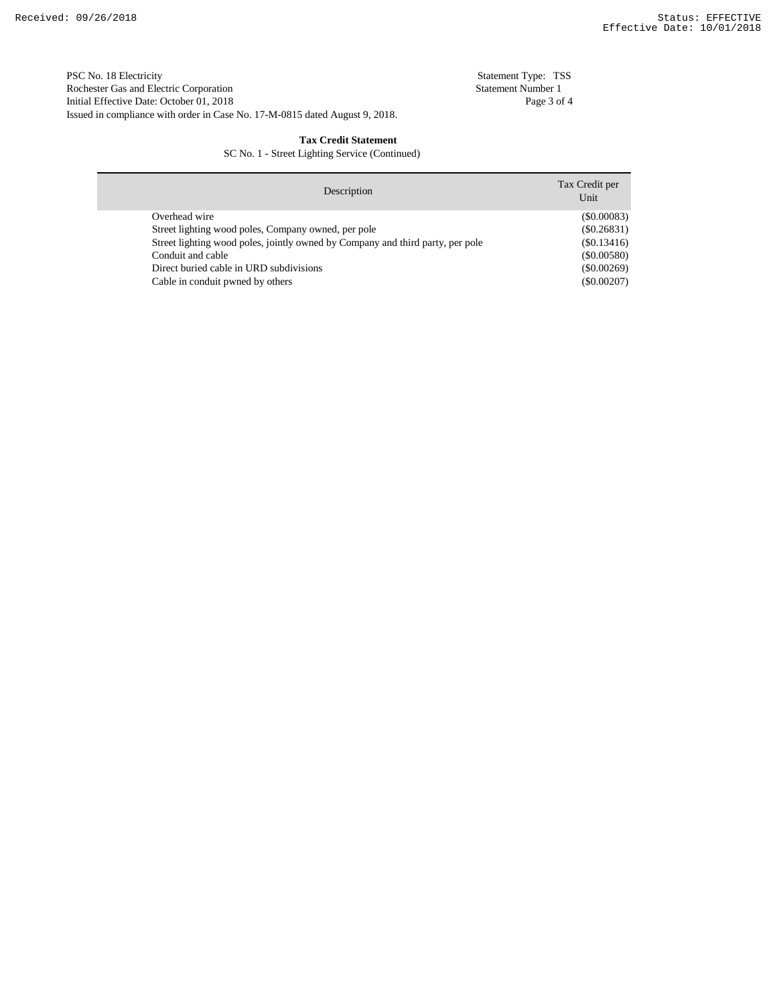Issued in compliance with order in Case No. 17-M-0815 dated August 9, 2018. PSC No. 18 Electricity Statement Type: TSS<br>
Rochester Gas and Electric Corporation Statement Number 1 Rochester Gas and Electric Corporation Initial Effective Date: October 01, 2018 Page 3 of 4

### **Tax Credit Statement**

SC No. 1 - Street Lighting Service (Continued)

| Description                                                                    | Tax Credit per<br>Unit |
|--------------------------------------------------------------------------------|------------------------|
| Overhead wire                                                                  | (S0.00083)             |
| Street lighting wood poles, Company owned, per pole                            | $(\$0.26831)$          |
| Street lighting wood poles, jointly owned by Company and third party, per pole | $(\$0.13416)$          |
| Conduit and cable                                                              | $(\$0.00580)$          |
| Direct buried cable in URD subdivisions                                        | $(\$0.00269)$          |
| Cable in conduit pwned by others                                               | $(\$0.00207)$          |
|                                                                                |                        |